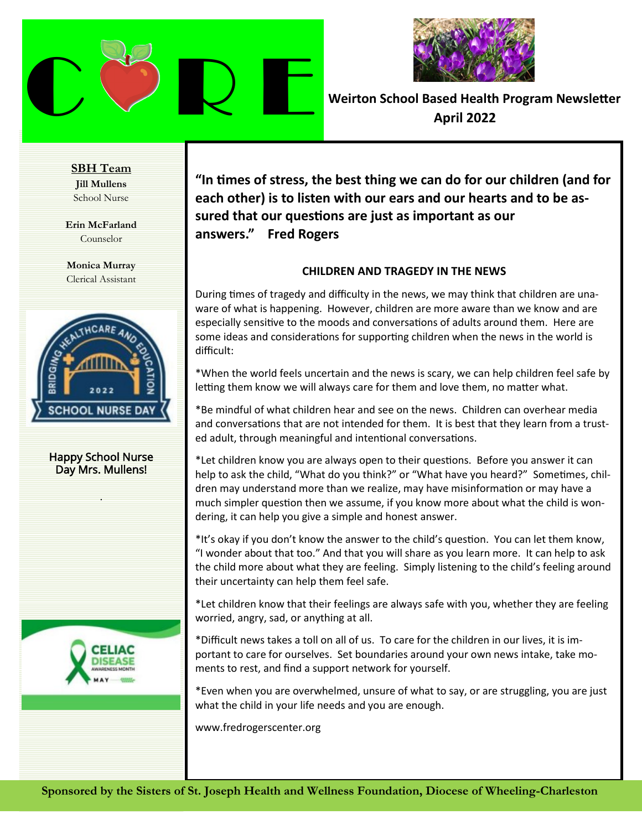



**SBH Team Jill Mullens** School Nurse

**Erin McFarland** Counselor

**Monica Murray** Clerical Assistant



Happy School Nurse Day Mrs. Mullens!

.



**"In times of stress, the best thing we can do for our children (and for each other) is to listen with our ears and our hearts and to be assured that our questions are just as important as our answers." Fred Rogers**

#### **CHILDREN AND TRAGEDY IN THE NEWS**

During times of tragedy and difficulty in the news, we may think that children are unaware of what is happening. However, children are more aware than we know and are especially sensitive to the moods and conversations of adults around them. Here are some ideas and considerations for supporting children when the news in the world is difficult:

\*When the world feels uncertain and the news is scary, we can help children feel safe by letting them know we will always care for them and love them, no matter what.

\*Be mindful of what children hear and see on the news. Children can overhear media and conversations that are not intended for them. It is best that they learn from a trusted adult, through meaningful and intentional conversations.

\*Let children know you are always open to their questions. Before you answer it can help to ask the child, "What do you think?" or "What have you heard?" Sometimes, children may understand more than we realize, may have misinformation or may have a much simpler question then we assume, if you know more about what the child is wondering, it can help you give a simple and honest answer.

\*It's okay if you don't know the answer to the child's question. You can let them know, "I wonder about that too." And that you will share as you learn more. It can help to ask the child more about what they are feeling. Simply listening to the child's feeling around their uncertainty can help them feel safe.

\*Let children know that their feelings are always safe with you, whether they are feeling worried, angry, sad, or anything at all.

\*Difficult news takes a toll on all of us. To care for the children in our lives, it is important to care for ourselves. Set boundaries around your own news intake, take moments to rest, and find a support network for yourself.

\*Even when you are overwhelmed, unsure of what to say, or are struggling, you are just what the child in your life needs and you are enough.

www.fredrogerscenter.org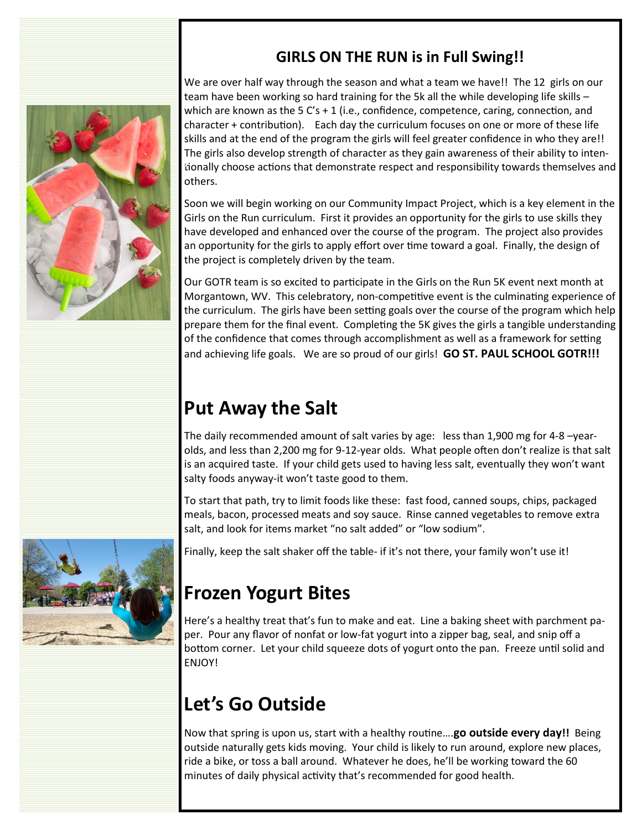

#### **GIRLS ON THE RUN is in Full Swing!!**

We are over half way through the season and what a team we have!! The 12 girls on our team have been working so hard training for the 5k all the while developing life skills – which are known as the 5  $C's + 1$  (i.e., confidence, competence, caring, connection, and character + contribution). Each day the curriculum focuses on one or more of these life skills and at the end of the program the girls will feel greater confidence in who they are!! The girls also develop strength of character as they gain awareness of their ability to intentionally choose actions that demonstrate respect and responsibility towards themselves and **o**others.

Soon we will begin working on our Community Impact Project, which is a key element in the Girls on the Run curriculum. First it provides an opportunity for the girls to use skills they have developed and enhanced over the course of the program. The project also provides an opportunity for the girls to apply effort over time toward a goal. Finally, the design of the project is completely driven by the team.

Our GOTR team is so excited to participate in the Girls on the Run 5K event next month at Morgantown, WV. This celebratory, non-competitive event is the culminating experience of the curriculum. The girls have been setting goals over the course of the program which help prepare them for the final event. Completing the 5K gives the girls a tangible understanding of the confidence that comes through accomplishment as well as a framework for setting and achieving life goals. We are so proud of our girls! **GO ST. PAUL SCHOOL GOTR!!!**

### **Put Away the Salt**

The daily recommended amount of salt varies by age: less than 1,900 mg for 4-8 –yearolds, and less than 2,200 mg for 9-12-year olds. What people often don't realize is that salt is an acquired taste. If your child gets used to having less salt, eventually they won't want salty foods anyway-it won't taste good to them.

To start that path, try to limit foods like these: fast food, canned soups, chips, packaged meals, bacon, processed meats and soy sauce. Rinse canned vegetables to remove extra salt, and look for items market "no salt added" or "low sodium".





### **Frozen Yogurt Bites**

Here's a healthy treat that's fun to make and eat. Line a baking sheet with parchment paper. Pour any flavor of nonfat or low-fat yogurt into a zipper bag, seal, and snip off a bottom corner. Let your child squeeze dots of yogurt onto the pan. Freeze until solid and ENJOY!

## **Let's Go Outside**

Now that spring is upon us, start with a healthy routine….**go outside every day!!** Being outside naturally gets kids moving. Your child is likely to run around, explore new places, ride a bike, or toss a ball around. Whatever he does, he'll be working toward the 60 minutes of daily physical activity that's recommended for good health.